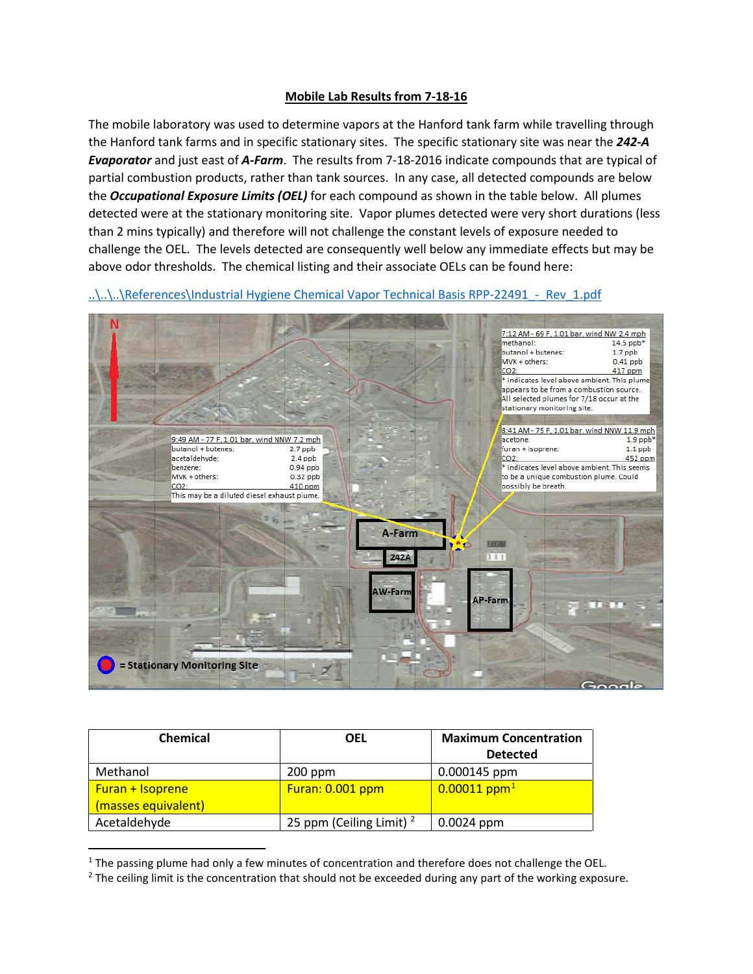## **Mobile Lab Results from 7-18-16**

The mobile laboratory was used to determine vapors at the Hanford tank farm while travelling through the Hanford tank farms and in specific stationary sites. The specific stationary site was near the *242-A Evaporator* and just east of *A-Farm*. The results from 7-18-2016 indicate compounds that are typical of partial combustion products, rather than tank sources. In any case, all detected compounds are below the *Occupational Exposure Limits (OEL)* for each compound as shown in the table below. All plumes detected were at the stationary monitoring site. Vapor plumes detected were very short durations (less than 2 mins typically) and therefore will not challenge the constant levels of exposure needed to challenge the OEL. The levels detected are consequently well below any immediate effects but may be above odor thresholds. The chemical listing and their associate OELs can be found here:

..\..\..\References\Industrial Hygiene Chemical Vapor Technical Basis RPP-22491 - Rev\_1.pdf



| <b>Chemical</b>     | <b>OEL</b>                 | <b>Maximum Concentration</b> |
|---------------------|----------------------------|------------------------------|
|                     |                            | <b>Detected</b>              |
| Methanol            | $200$ ppm                  | 0.000145 ppm                 |
| Furan + Isoprene    | Furan: 0.001 ppm           | $0.00011$ ppm <sup>1</sup>   |
| (masses equivalent) |                            |                              |
| Acetaldehyde        | 25 ppm (Ceiling Limit) $2$ | $0.0024$ ppm                 |

<span id="page-0-0"></span> $1$  The passing plume had only a few minutes of concentration and therefore does not challenge the OEL.

<span id="page-0-1"></span><sup>&</sup>lt;sup>2</sup> The ceiling limit is the concentration that should not be exceeded during any part of the working exposure.